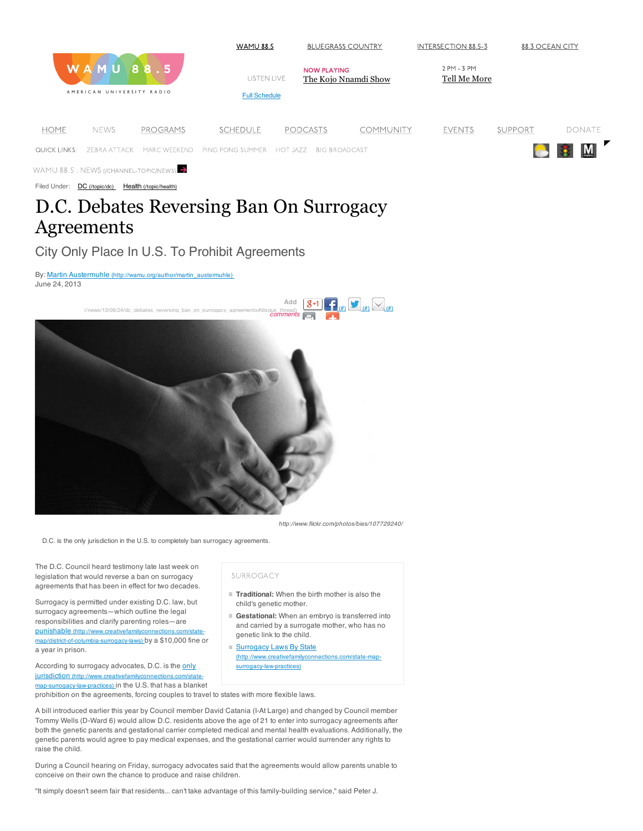

Filed Under: DC (/topic/dc) Health (/topic/health)

# D.C. Debates Reversing Ban On Surrogacy Agreements

### City Only Place In U.S. To Prohibit Agreements

By: Martin Austermuhle (http://wamu.org/author/martin\_austermuhle) June 24, 2013



*http://www.flickr.com/photos/bies/107729240/*

D.C. is the only jurisdiction in the U.S. to completely ban surrogacy agreements.

The D.C. Council heard testimony late last week on legislation that would reverse a ban on surrogacy agreements that has been in effect for two decades.

Surrogacy is permitted under existing D.C. law, but surrogacy agreements—which outline the legal responsibilities and clarify parenting roles—are punishable (http://www.creativefamilyconnections.com/statemap/district-of-columbia-surrogacy-laws) by a \$10,000 fine or

a year in prison.

According to surrogacy advocates, D.C. is the only jurisdiction (http://www.cre map-surrogacy-law-practices) in the U.S. that has a blanket

#### SURROGACY

- **Traditional:** When the birth mother is also the child's genetic mother.
- **Gestational:** When an embryo is transferred into and carried by a surrogate mother, who has no genetic link to the child.
- Surrogacy Laws By State (http://www.creativefamilyconnections.com/state-mapsurrogacy-law-practices)

prohibition on the agreements, forcing couples to travel to states with more flexible laws.

A bill introduced earlier this year by Council member David Catania (I-At Large) and changed by Council member Tommy Wells (D-Ward 6) would allow D.C. residents above the age of 21 to enter into surrogacy agreements after both the genetic parents and gestational carrier completed medical and mental health evaluations. Additionally, the genetic parents would agree to pay medical expenses, and the gestational carrier would surrender any rights to raise the child.

During a Council hearing on Friday, surrogacy advocates said that the agreements would allow parents unable to conceive on their own the chance to produce and raise children.

"It simply doesn't seem fair that residents... can't take advantage of this family-building service," said Peter J.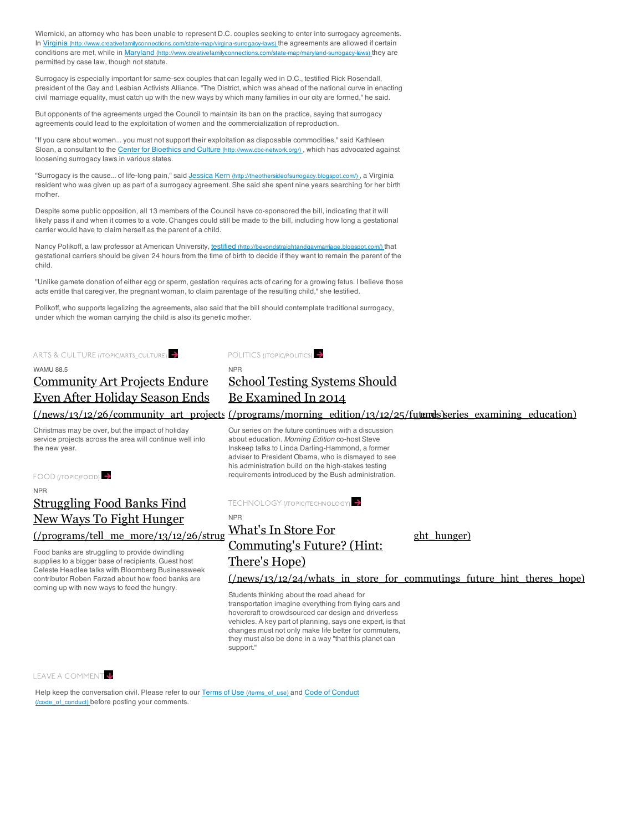Wiernicki, an attorney who has been unable to represent D.C. couples seeking to enter into surrogacy agreements. In Virginia (http://www.creativefamilyconnections.com/state-map/virgina-surrogacy-laws) the agreements are allowed if certain conditions are met, while in Maryland (http://www.creativefamilyconnections.com/state-map/maryland-surrogacy-laws) they are permitted by case law, though not statute.

Surrogacy is especially important for same-sex couples that can legally wed in D.C., testified Rick Rosendall, president of the Gay and Lesbian Activists Alliance. "The District, which was ahead of the national curve in enacting civil marriage equality, must catch up with the new ways by which many families in our city are formed," he said.

But opponents of the agreements urged the Council to maintain its ban on the practice, saying that surrogacy agreements could lead to the exploitation of women and the commercialization of reproduction.

"If you care about women... you must not support their exploitation as disposable commodities," said Kathleen Sloan, a consultant to the Center for Bioethics and Culture (http://www.cbc-network.org/), which has advocated against loosening surrogacy laws in various states.

"Surrogacy is the cause... of life-long pain," said Jessica Kern (http://theothersideofsurrogacy.blogspot.com/) , a Virginia resident who was given up as part of a surrogacy agreement. She said she spent nine years searching for her birth mother.

Despite some public opposition, all 13 members of the Council have co-sponsored the bill, indicating that it will likely pass if and when it comes to a vote. Changes could still be made to the bill, including how long a gestational carrier would have to claim herself as the parent of a child.

Nancy Polikoff, a law professor at American University, testified (http://beyondstraightandgaymarriage.blogspot.com/) that gestational carriers should be given 24 hours from the time of birth to decide if they want to remain the parent of the child.

"Unlike gamete donation of either egg or sperm, gestation requires acts of caring for a growing fetus. I believe those acts entitle that caregiver, the pregnant woman, to claim parentage of the resulting child," she testified.

NPR

Polikoff, who supports legalizing the agreements, also said that the bill should contemplate traditional surrogacy, under which the woman carrying the child is also its genetic mother.

ARTS & CULTURE (*[TOPIC/ARTS\_CULTURE*)

#### WAMU 88.5

## Community Art Projects Endure Even After Holiday Season Ends

Christmas may be over, but the impact of holiday service projects across the area will continue well into the new year.

FOOD (ITOPIC/FOOD)

### NPR Struggling Food Banks Find New Ways To Fight Hunger  $($ /programs/tell\_me\_more/13/12/26/strug WHat S III Store FOI ght hunger)

Food banks are struggling to provide dwindling supplies to a bigger base of recipients. Guest host Celeste Headlee talks with Bloomberg Businessweek contributor Roben Farzad about how food banks are coming up with new ways to feed the hungry.



## School Testing Systems Should Be Examined In 2014

 $(\text{/news/13/12/26}/\text{community}$  art\_projects (/programs/morning\_edition/13/12/25/futuresseries\_examining\_education)

Our series on the future continues with a discussion about education. *Morning Edition* co-host Steve Inskeep talks to Linda Darling-Hammond, a former adviser to President Obama, who is dismayed to see his administration build on the high-stakes testing requirements introduced by the Bush administration.

TECHNOLOGY (TOPIC/TECHNOLOGY)

Commuting's Future? (Hint:

NPR What's In Store For

There's Hope)

 $(\text{/news/13/12/24/whats}$  in store for commutings future hint theres hope)

Students thinking about the road ahead for transportation imagine everything from flying cars and hovercraft to crowdsourced car design and driverless vehicles. A key part of planning, says one expert, is that changes must not only make life better for commuters, they must also be done in a way "that this planet can support."

### LEAVE A COMMENT

Help keep the conversation civil. Please refer to our Terms of Use (/terms\_of\_use) and Code of Conduct (/code\_of\_conduct) before posting your comments.